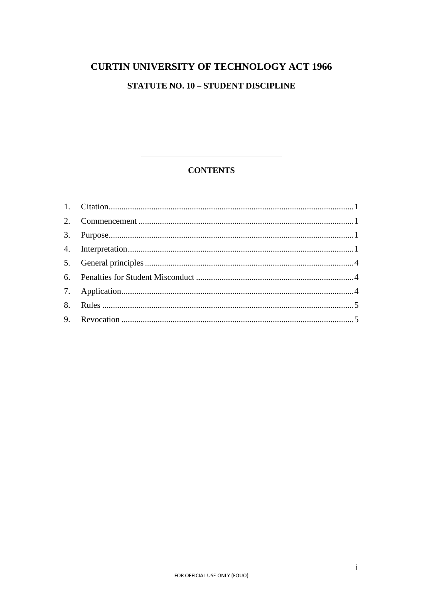# **CURTIN UNIVERSITY OF TECHNOLOGY ACT 1966 STATUTE NO. 10 - STUDENT DISCIPLINE**

# **CONTENTS**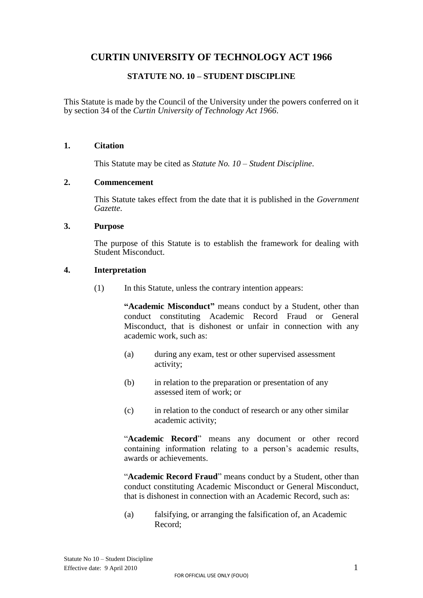# **CURTIN UNIVERSITY OF TECHNOLOGY ACT 1966**

## **STATUTE NO. 10 – STUDENT DISCIPLINE**

This Statute is made by the Council of the University under the powers conferred on it by section 34 of the *Curtin University of Technology Act 1966*.

#### <span id="page-1-0"></span>**1. Citation**

This Statute may be cited as *Statute No. 10 – Student Discipline*.

#### <span id="page-1-1"></span>**2. Commencement**

This Statute takes effect from the date that it is published in the *Government Gazette*.

#### <span id="page-1-2"></span>**3. Purpose**

The purpose of this Statute is to establish the framework for dealing with Student Misconduct.

#### <span id="page-1-3"></span>**4. Interpretation**

(1) In this Statute, unless the contrary intention appears:

**"Academic Misconduct"** means conduct by a Student, other than conduct constituting Academic Record Fraud or General Misconduct, that is dishonest or unfair in connection with any academic work, such as:

- (a) during any exam, test or other supervised assessment activity;
- (b) in relation to the preparation or presentation of any assessed item of work; or
- (c) in relation to the conduct of research or any other similar academic activity;

"**Academic Record**" means any document or other record containing information relating to a person's academic results, awards or achievements.

"**Academic Record Fraud**" means conduct by a Student, other than conduct constituting Academic Misconduct or General Misconduct, that is dishonest in connection with an Academic Record, such as:

(a) falsifying, or arranging the falsification of, an Academic Record;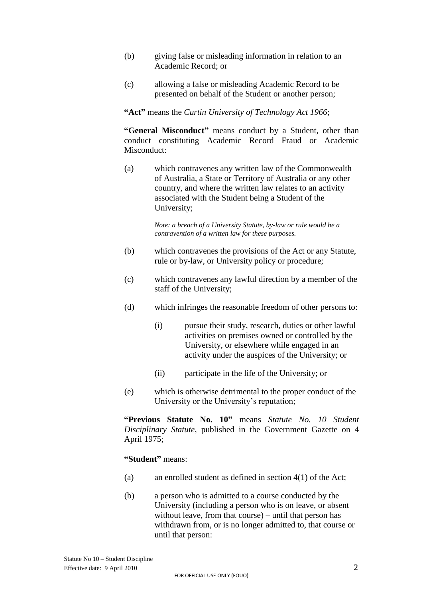- (b) giving false or misleading information in relation to an Academic Record; or
- (c) allowing a false or misleading Academic Record to be presented on behalf of the Student or another person;

**"Act"** means the *Curtin University of Technology Act 1966*;

**"General Misconduct"** means conduct by a Student, other than conduct constituting Academic Record Fraud or Academic Misconduct:

(a) which contravenes any written law of the Commonwealth of Australia, a State or Territory of Australia or any other country, and where the written law relates to an activity associated with the Student being a Student of the University;

> *Note: a breach of a University Statute, by-law or rule would be a contravention of a written law for these purposes.*

- (b) which contravenes the provisions of the Act or any Statute, rule or by-law, or University policy or procedure;
- (c) which contravenes any lawful direction by a member of the staff of the University;
- (d) which infringes the reasonable freedom of other persons to:
	- (i) pursue their study, research, duties or other lawful activities on premises owned or controlled by the University, or elsewhere while engaged in an activity under the auspices of the University; or
	- (ii) participate in the life of the University; or
- (e) which is otherwise detrimental to the proper conduct of the University or the University's reputation;

**"Previous Statute No. 10"** means *Statute No. 10 Student Disciplinary Statute*, published in the Government Gazette on 4 April 1975;

#### **"Student"** means:

- (a) an enrolled student as defined in section 4(1) of the Act;
- (b) a person who is admitted to a course conducted by the University (including a person who is on leave, or absent without leave, from that course) – until that person has withdrawn from, or is no longer admitted to, that course or until that person: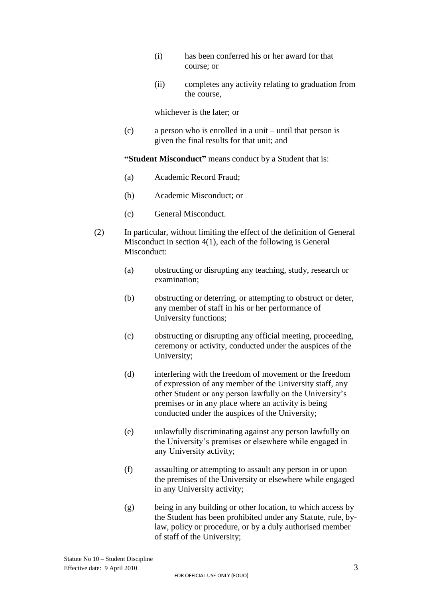- (i) has been conferred his or her award for that course; or
- (ii) completes any activity relating to graduation from the course,

whichever is the later; or

(c) a person who is enrolled in a unit – until that person is given the final results for that unit; and

**"Student Misconduct"** means conduct by a Student that is:

- (a) Academic Record Fraud;
- (b) Academic Misconduct; or
- (c) General Misconduct.
- (2) In particular, without limiting the effect of the definition of General Misconduct in section 4(1), each of the following is General Misconduct:
	- (a) obstructing or disrupting any teaching, study, research or examination;
	- (b) obstructing or deterring, or attempting to obstruct or deter, any member of staff in his or her performance of University functions;
	- (c) obstructing or disrupting any official meeting, proceeding, ceremony or activity, conducted under the auspices of the University;
	- (d) interfering with the freedom of movement or the freedom of expression of any member of the University staff, any other Student or any person lawfully on the University's premises or in any place where an activity is being conducted under the auspices of the University;
	- (e) unlawfully discriminating against any person lawfully on the University's premises or elsewhere while engaged in any University activity;
	- (f) assaulting or attempting to assault any person in or upon the premises of the University or elsewhere while engaged in any University activity;
	- (g) being in any building or other location, to which access by the Student has been prohibited under any Statute, rule, bylaw, policy or procedure, or by a duly authorised member of staff of the University;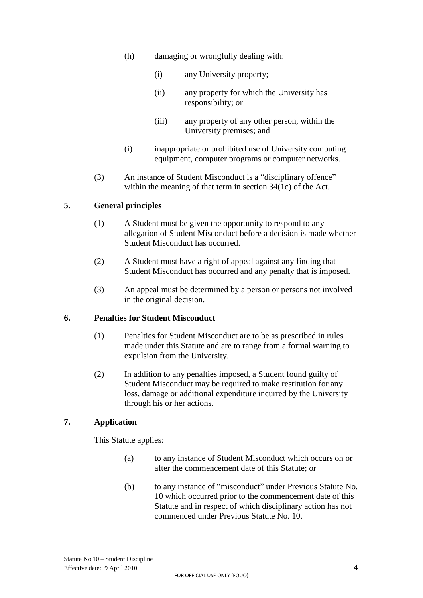- (h) damaging or wrongfully dealing with:
	- (i) any University property;
	- (ii) any property for which the University has responsibility; or
	- (iii) any property of any other person, within the University premises; and
- (i) inappropriate or prohibited use of University computing equipment, computer programs or computer networks.
- (3) An instance of Student Misconduct is a "disciplinary offence" within the meaning of that term in section 34(1c) of the Act.

## <span id="page-4-0"></span>**5. General principles**

- (1) A Student must be given the opportunity to respond to any allegation of Student Misconduct before a decision is made whether Student Misconduct has occurred.
- (2) A Student must have a right of appeal against any finding that Student Misconduct has occurred and any penalty that is imposed.
- (3) An appeal must be determined by a person or persons not involved in the original decision.

#### <span id="page-4-1"></span>**6. Penalties for Student Misconduct**

- (1) Penalties for Student Misconduct are to be as prescribed in rules made under this Statute and are to range from a formal warning to expulsion from the University.
- (2) In addition to any penalties imposed, a Student found guilty of Student Misconduct may be required to make restitution for any loss, damage or additional expenditure incurred by the University through his or her actions.

# <span id="page-4-2"></span>**7. Application**

This Statute applies:

- (a) to any instance of Student Misconduct which occurs on or after the commencement date of this Statute; or
- (b) to any instance of "misconduct" under Previous Statute No. 10 which occurred prior to the commencement date of this Statute and in respect of which disciplinary action has not commenced under Previous Statute No. 10.